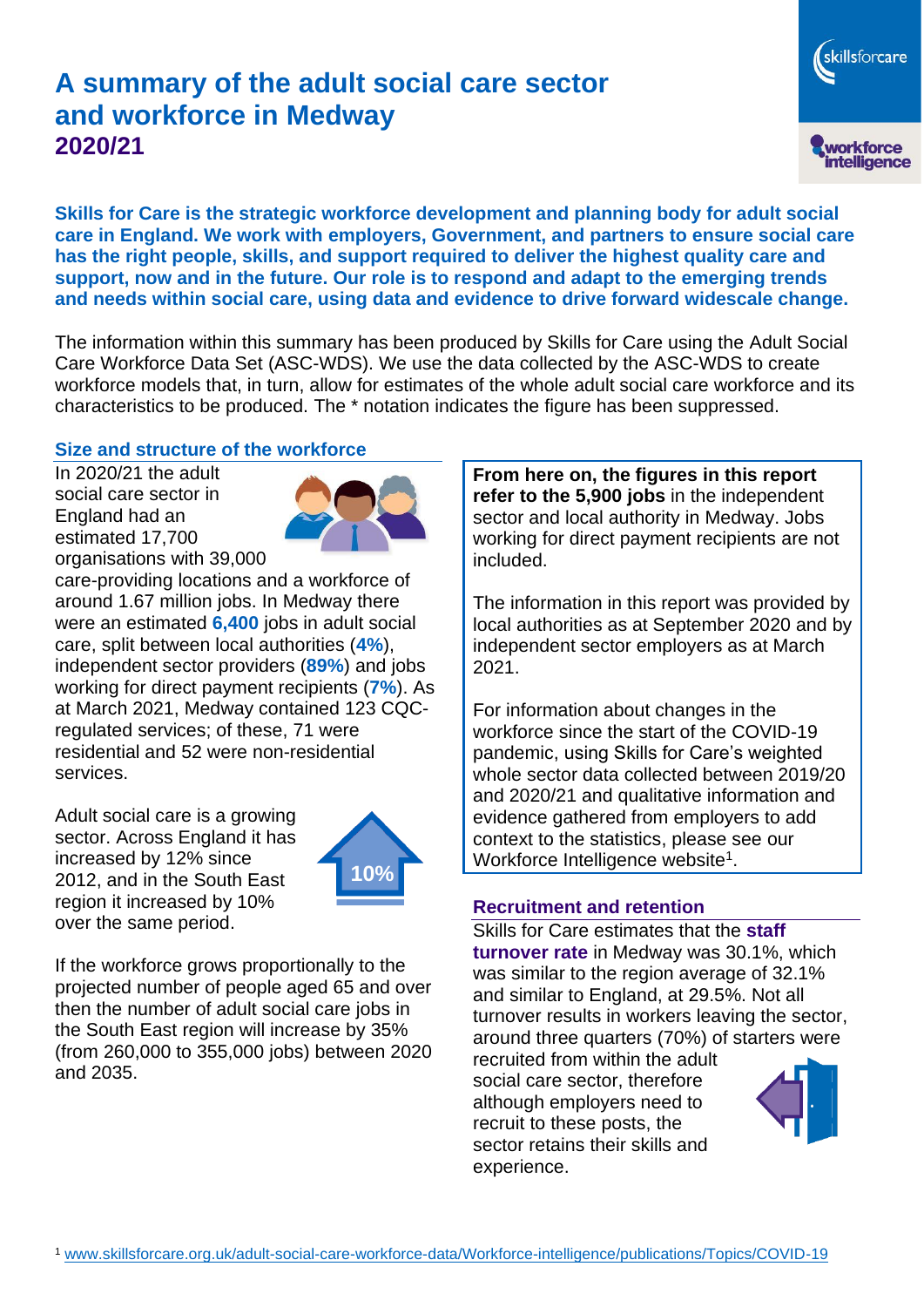# **A summary of the adult social care sector and workforce in Medway 2020/21**

skillsforcare workforce<br>intelligence

**Skills for Care is the strategic workforce development and planning body for adult social care in England. We work with employers, Government, and partners to ensure social care has the right people, skills, and support required to deliver the highest quality care and support, now and in the future. Our role is to respond and adapt to the emerging trends and needs within social care, using data and evidence to drive forward widescale change.**

The information within this summary has been produced by Skills for Care using the Adult Social Care Workforce Data Set (ASC-WDS). We use the data collected by the ASC-WDS to create workforce models that, in turn, allow for estimates of the whole adult social care workforce and its characteristics to be produced. The \* notation indicates the figure has been suppressed.

#### **Size and structure of the workforce**

In 2020/21 the adult social care sector in England had an estimated 17,700 organisations with 39,000



care-providing locations and a workforce of around 1.67 million jobs. In Medway there were an estimated **6,400** jobs in adult social care, split between local authorities (**4%**), independent sector providers (**89%**) and jobs working for direct payment recipients (**7%**). As at March 2021, Medway contained 123 CQCregulated services; of these, 71 were residential and 52 were non-residential services.

Adult social care is a growing sector. Across England it has increased by 12% since 2012, and in the South East region it increased by 10% over the same period.



If the workforce grows proportionally to the projected number of people aged 65 and over then the number of adult social care jobs in the South East region will increase by 35% (from 260,000 to 355,000 jobs) between 2020 and 2035.

**From here on, the figures in this report refer to the 5,900 jobs** in the independent sector and local authority in Medway. Jobs working for direct payment recipients are not included.

The information in this report was provided by local authorities as at September 2020 and by independent sector employers as at March 2021.

For information about changes in the workforce since the start of the COVID-19 pandemic, using Skills for Care's weighted whole sector data collected between 2019/20 and 2020/21 and qualitative information and evidence gathered from employers to add context to the statistics, please see our Workforce Intelligence website<sup>1</sup>.

#### **Recruitment and retention**

Skills for Care estimates that the **staff turnover rate** in Medway was 30.1%, which was similar to the region average of 32.1% and similar to England, at 29.5%. Not all turnover results in workers leaving the sector, around three quarters (70%) of starters were

recruited from within the adult social care sector, therefore although employers need to recruit to these posts, the sector retains their skills and experience.

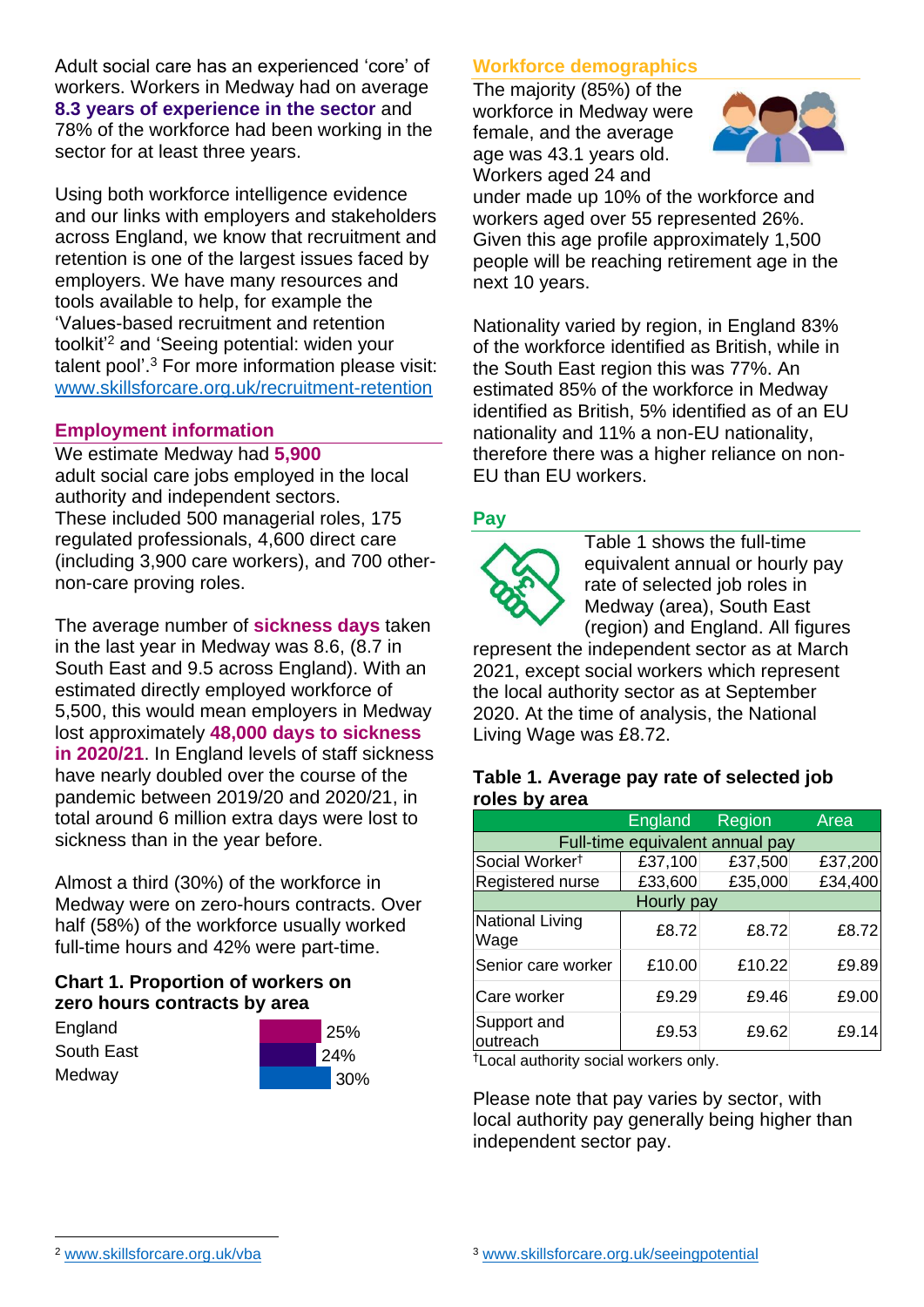Adult social care has an experienced 'core' of workers. Workers in Medway had on average **8.3 years of experience in the sector** and 78% of the workforce had been working in the sector for at least three years.

Using both workforce intelligence evidence and our links with employers and stakeholders across England, we know that recruitment and retention is one of the largest issues faced by employers. We have many resources and tools available to help, for example the 'Values-based recruitment and retention toolkit'<sup>2</sup> and 'Seeing potential: widen your talent pool'. <sup>3</sup> For more information please visit: [www.skillsforcare.org.uk/recruitment-retention](http://www.skillsforcare.org.uk/recruitment-retention)

#### **Employment information**

We estimate Medway had **5,900** adult social care jobs employed in the local authority and independent sectors. These included 500 managerial roles, 175 regulated professionals, 4,600 direct care (including 3,900 care workers), and 700 othernon-care proving roles.

The average number of **sickness days** taken in the last year in Medway was 8.6, (8.7 in South East and 9.5 across England). With an estimated directly employed workforce of 5,500, this would mean employers in Medway lost approximately **48,000 days to sickness in 2020/21**. In England levels of staff sickness have nearly doubled over the course of the pandemic between 2019/20 and 2020/21, in total around 6 million extra days were lost to sickness than in the year before.

Almost a third (30%) of the workforce in Medway were on zero-hours contracts. Over half (58%) of the workforce usually worked full-time hours and 42% were part-time.

### **Chart 1. Proportion of workers on zero hours contracts by area**

**England** South East **Medway** 



### **Workforce demographics**

The majority (85%) of the workforce in Medway were female, and the average age was 43.1 years old. Workers aged 24 and



under made up 10% of the workforce and workers aged over 55 represented 26%. Given this age profile approximately 1,500 people will be reaching retirement age in the next 10 years.

Nationality varied by region, in England 83% of the workforce identified as British, while in the South East region this was 77%. An estimated 85% of the workforce in Medway identified as British, 5% identified as of an EU nationality and 11% a non-EU nationality, therefore there was a higher reliance on non-EU than EU workers.

### **Pay**



Table 1 shows the full-time equivalent annual or hourly pay rate of selected job roles in Medway (area), South East (region) and England. All figures

represent the independent sector as at March 2021, except social workers which represent the local authority sector as at September 2020. At the time of analysis, the National Living Wage was £8.72.

#### **Table 1. Average pay rate of selected job roles by area**

|                                 | England | Region  | Area    |
|---------------------------------|---------|---------|---------|
| Full-time equivalent annual pay |         |         |         |
| Social Worker <sup>t</sup>      | £37,100 | £37,500 | £37,200 |
| Registered nurse                | £33,600 | £35,000 | £34,400 |
| Hourly pay                      |         |         |         |
| National Living<br>Wage         | £8.72   | £8.72   | £8.72   |
| Senior care worker              | £10.00  | £10.22  | £9.89   |
| Care worker                     | £9.29   | £9.46   | £9.00   |
| Support and<br>outreach         | £9.53   | £9.62   | £9.14   |

†Local authority social workers only.

Please note that pay varies by sector, with local authority pay generally being higher than independent sector pay.

[www.skillsforcare.org.uk/vba](http://www.skillsforcare.org.uk/vba)